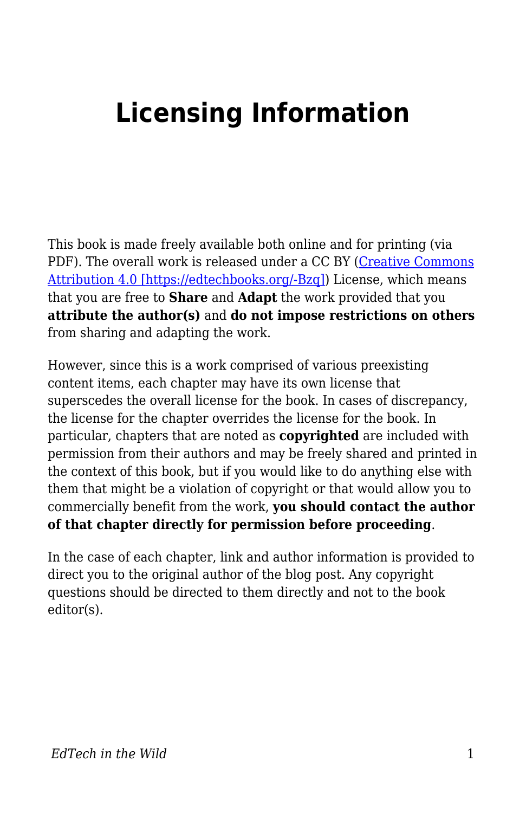## **Licensing Information**

This book is made freely available both online and for printing (via PDF). The overall work is released under a CC BY [\(Creative Commons](https://creativecommons.org/licenses/by/4.0/) [Attribution 4.0 \[https://edtechbooks.org/-Bzq\]\)](https://creativecommons.org/licenses/by/4.0/) License, which means that you are free to **Share** and **Adapt** the work provided that you **attribute the author(s)** and **do not impose restrictions on others** from sharing and adapting the work.

However, since this is a work comprised of various preexisting content items, each chapter may have its own license that superscedes the overall license for the book. In cases of discrepancy, the license for the chapter overrides the license for the book. In particular, chapters that are noted as **copyrighted** are included with permission from their authors and may be freely shared and printed in the context of this book, but if you would like to do anything else with them that might be a violation of copyright or that would allow you to commercially benefit from the work, **you should contact the author of that chapter directly for permission before proceeding**.

In the case of each chapter, link and author information is provided to direct you to the original author of the blog post. Any copyright questions should be directed to them directly and not to the book editor(s).